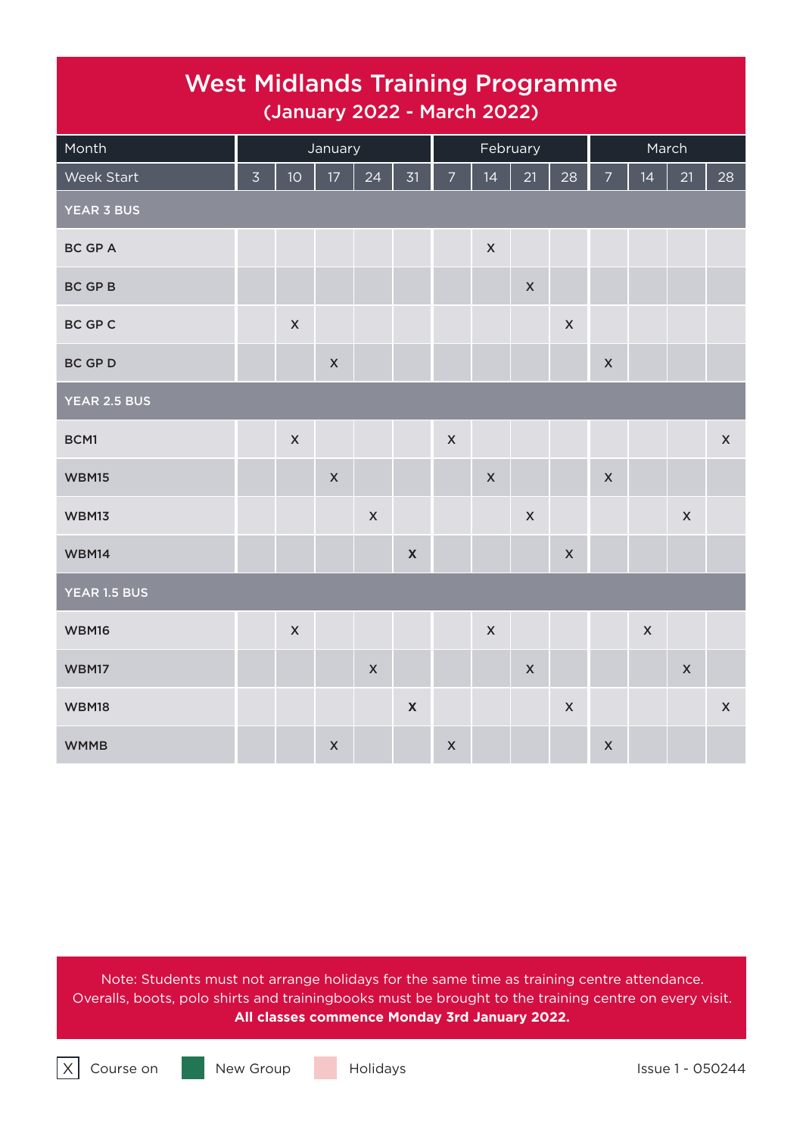## West Midlands Training Programme (January 2022 - March 2022)

| Month             |                |                    | January                   |                |                           | February           |                    |                    |                    | March                     |             |                    |                    |
|-------------------|----------------|--------------------|---------------------------|----------------|---------------------------|--------------------|--------------------|--------------------|--------------------|---------------------------|-------------|--------------------|--------------------|
| Week Start        | $\overline{3}$ | 10 <sup>°</sup>    | $17 \text{ }$             | 24             | 31                        | $\overline{7}$     | 14                 | 21                 | 28                 | $\overline{7}$            | 14          | 21                 | 28                 |
| <b>YEAR 3 BUS</b> |                |                    |                           |                |                           |                    |                    |                    |                    |                           |             |                    |                    |
| <b>BC GP A</b>    |                |                    |                           |                |                           |                    | $\pmb{\mathsf{X}}$ |                    |                    |                           |             |                    |                    |
| BC GP B           |                |                    |                           |                |                           |                    |                    | $\pmb{\mathsf{X}}$ |                    |                           |             |                    |                    |
| BC GP C           |                | $\pmb{\mathsf{X}}$ |                           |                |                           |                    |                    |                    | $\pmb{\mathsf{X}}$ |                           |             |                    |                    |
| <b>BC GP D</b>    |                |                    | $\pmb{\mathsf{X}}$        |                |                           |                    |                    |                    |                    | $\pmb{\times}$            |             |                    |                    |
| YEAR 2.5 BUS      |                |                    |                           |                |                           |                    |                    |                    |                    |                           |             |                    |                    |
| BCM1              |                | $\pmb{\mathsf{X}}$ |                           |                |                           | $\pmb{\mathsf{X}}$ |                    |                    |                    |                           |             |                    | $\pmb{\mathsf{X}}$ |
| <b>WBM15</b>      |                |                    | $\pmb{\mathsf{X}}$        |                |                           |                    | $\mathsf X$        |                    |                    | $\pmb{\mathsf{X}}$        |             |                    |                    |
| WBM13             |                |                    |                           | $\pmb{\times}$ |                           |                    |                    | $\pmb{\mathsf{X}}$ |                    |                           |             | $\pmb{\mathsf{X}}$ |                    |
| <b>WBM14</b>      |                |                    |                           |                | $\pmb{\mathsf{X}}$        |                    |                    |                    | $\pmb{\mathsf{X}}$ |                           |             |                    |                    |
| YEAR 1.5 BUS      |                |                    |                           |                |                           |                    |                    |                    |                    |                           |             |                    |                    |
| <b>WBM16</b>      |                | $\pmb{\times}$     |                           |                |                           |                    | $\mathsf X$        |                    |                    |                           | $\mathsf X$ |                    |                    |
| <b>WBM17</b>      |                |                    |                           | $\pmb{\times}$ |                           |                    |                    | $\mathsf{X}$       |                    |                           |             | $\mathsf X$        |                    |
| <b>WBM18</b>      |                |                    |                           |                | $\boldsymbol{\mathsf{X}}$ |                    |                    |                    | $\pmb{\times}$     |                           |             |                    | $\pmb{\mathsf{X}}$ |
| <b>WMMB</b>       |                |                    | $\boldsymbol{\mathsf{X}}$ |                |                           | $\pmb{\mathsf{X}}$ |                    |                    |                    | $\boldsymbol{\mathsf{X}}$ |             |                    |                    |

Note: Students must not arrange holidays for the same time as training centre attendance. Overalls, boots, polo shirts and trainingbooks must be brought to the training centre on every visit. **All classes commence Monday 3rd January 2022.**